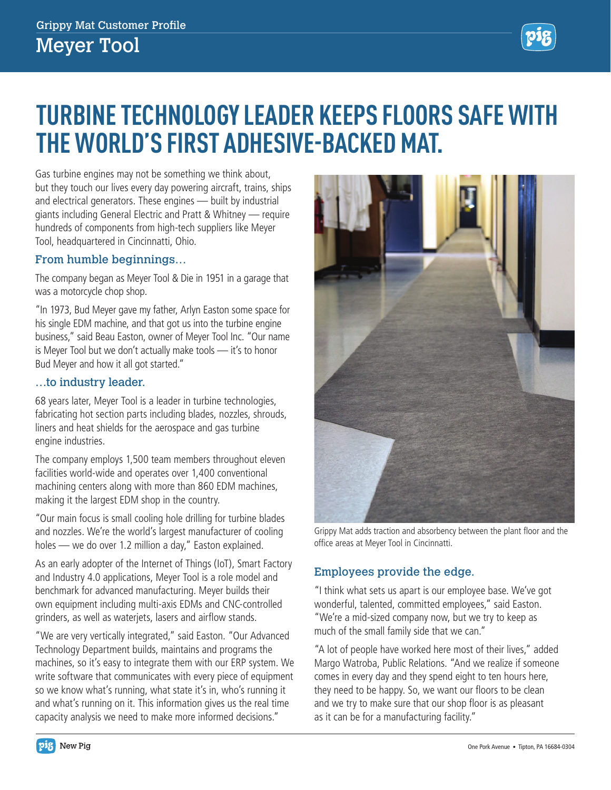

# **TURBINE TECHNOLOGY LEADER KEEPS FLOORS SAFE WITH THE WORLD'S FIRST ADHESIVE-BACKED MAT.**

Gas turbine engines may not be something we think about, but they touch our lives every day powering aircraft, trains, ships and electrical generators. These engines — built by industrial giants including General Electric and Pratt & Whitney — require hundreds of components from high-tech suppliers like Meyer Tool, headquartered in Cincinnatti, Ohio.

## From humble beginnings…

The company began as Meyer Tool & Die in 1951 in a garage that was a motorcycle chop shop.

"In 1973, Bud Meyer gave my father, Arlyn Easton some space for his single EDM machine, and that got us into the turbine engine business," said Beau Easton, owner of Meyer Tool Inc. "Our name is Meyer Tool but we don't actually make tools — it's to honor Bud Meyer and how it all got started."

## …to industry leader.

68 years later, Meyer Tool is a leader in turbine technologies, fabricating hot section parts including blades, nozzles, shrouds, liners and heat shields for the aerospace and gas turbine engine industries.

The company employs 1,500 team members throughout eleven facilities world-wide and operates over 1,400 conventional machining centers along with more than 860 EDM machines, making it the largest EDM shop in the country.

"Our main focus is small cooling hole drilling for turbine blades and nozzles. We're the world's largest manufacturer of cooling holes — we do over 1.2 million a day," Easton explained.

As an early adopter of the Internet of Things (IoT), Smart Factory and Industry 4.0 applications, Meyer Tool is a role model and benchmark for advanced manufacturing. Meyer builds their own equipment including multi-axis EDMs and CNC-controlled grinders, as well as waterjets, lasers and airflow stands.

"We are very vertically integrated," said Easton. "Our Advanced Technology Department builds, maintains and programs the machines, so it's easy to integrate them with our ERP system. We write software that communicates with every piece of equipment so we know what's running, what state it's in, who's running it and what's running on it. This information gives us the real time capacity analysis we need to make more informed decisions."



Grippy Mat adds traction and absorbency between the plant floor and the office areas at Meyer Tool in Cincinnatti.

## Employees provide the edge.

"I think what sets us apart is our employee base. We've got wonderful, talented, committed employees," said Easton. "We're a mid-sized company now, but we try to keep as much of the small family side that we can."

"A lot of people have worked here most of their lives," added Margo Watroba, Public Relations. "And we realize if someone comes in every day and they spend eight to ten hours here, they need to be happy. So, we want our floors to be clean and we try to make sure that our shop floor is as pleasant as it can be for a manufacturing facility."